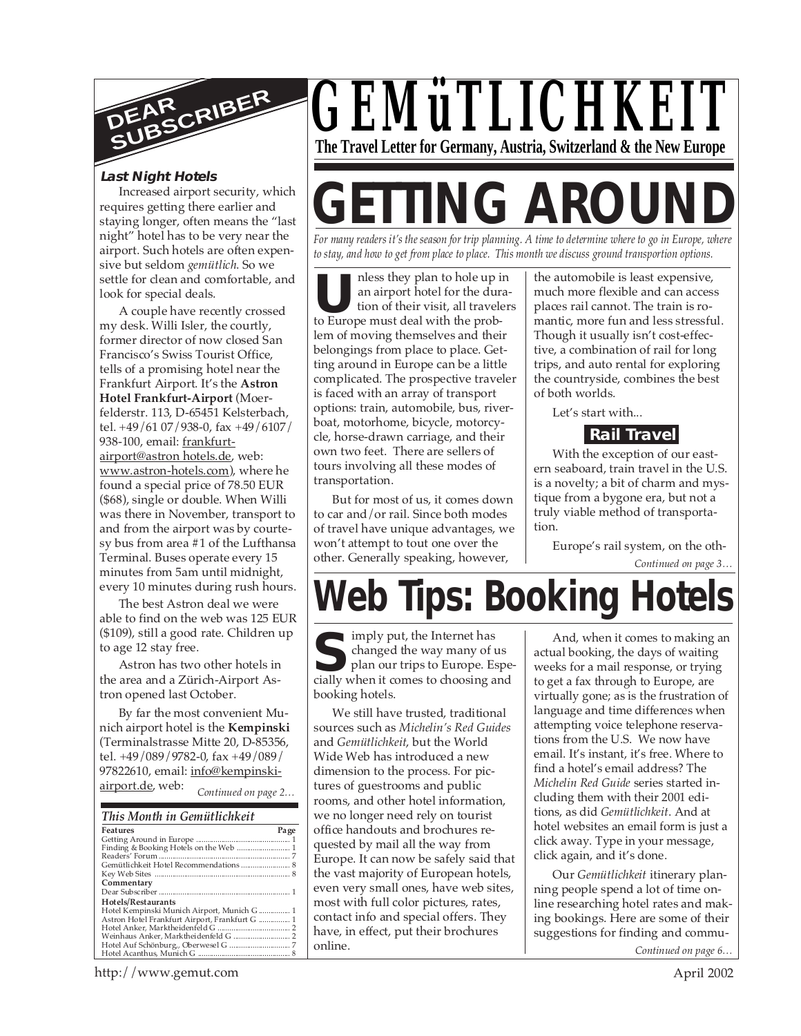

#### **Last Night Hotels**

Increased airport security, which requires getting there earlier and staying longer, often means the "last night" hotel has to be very near the airport. Such hotels are often expensive but seldom *gemütlich*. So we settle for clean and comfortable, and look for special deals.

A couple have recently crossed my desk. Willi Isler, the courtly, former director of now closed San Francisco's Swiss Tourist Office, tells of a promising hotel near the Frankfurt Airport. It's the **Astron Hotel Frankfurt-Airport** (Moerfelderstr. 113, D-65451 Kelsterbach, tel. +49/61 07/938-0, fax +49/6107/ 938-100, email: frankfurtairport@astron hotels.de, web: www.astron-hotels.com), where he found a special price of 78.50 EUR (\$68), single or double. When Willi was there in November, transport to and from the airport was by courtesy bus from area #1 of the Lufthansa Terminal. Buses operate every 15 minutes from 5am until midnight, every 10 minutes during rush hours.

The best Astron deal we were able to find on the web was 125 EUR (\$109), still a good rate. Children up to age 12 stay free.

Astron has two other hotels in the area and a Zürich-Airport Astron opened last October.

*Continued on page 2…* By far the most convenient Munich airport hotel is the **Kempinski** (Terminalstrasse Mitte 20, D-85356, tel. +49/089/9782-0, fax +49/089/ 97822610, email: info@kempinskiairport.de, web:

| This Month in Gemütlichkeit                    |      |
|------------------------------------------------|------|
| <b>Features</b>                                | Page |
|                                                |      |
|                                                |      |
|                                                |      |
| Gemütlichkeit Hotel Recommendations  8         |      |
|                                                |      |
| Commentary                                     |      |
|                                                |      |
| Hotels/Restaurants                             |      |
| Hotel Kempinski Munich Airport, Munich G  1    |      |
| Astron Hotel Frankfurt Airport, Frankfurt G  1 |      |
|                                                |      |
|                                                |      |
|                                                |      |
|                                                |      |



# **GETTING AROUI**

*For many readers it's the season for trip planning. A time to determine where to go in Europe, where to stay, and how to get from place to place. This month we discuss ground transportion options.*

**U**<br>
to hole up is<br>
to an airport hotel for the dur<br>
to Europe must deal with the probnless they plan to hole up in an airport hotel for the duration of their visit, all travelers lem of moving themselves and their belongings from place to place. Getting around in Europe can be a little complicated. The prospective traveler is faced with an array of transport options: train, automobile, bus, riverboat, motorhome, bicycle, motorcycle, horse-drawn carriage, and their own two feet. There are sellers of tours involving all these modes of transportation.

But for most of us, it comes down to car and/or rail. Since both modes of travel have unique advantages, we won't attempt to tout one over the other. Generally speaking, however,

the automobile is least expensive, much more flexible and can access places rail cannot. The train is romantic, more fun and less stressful. Though it usually isn't cost-effective, a combination of rail for long trips, and auto rental for exploring the countryside, combines the best of both worlds.

Let's start with...

#### **Rail Travel**

With the exception of our eastern seaboard, train travel in the U.S. is a novelty; a bit of charm and mystique from a bygone era, but not a truly viable method of transportation.

Europe's rail system, on the oth-

## **Web Tips: Booking Hotels**

**S**changed the way many of us
plan our trips to Europe. Espe
cially when it comes to choosing and imply put, the Internet has changed the way many of us plan our trips to Europe. Espebooking hotels.

We still have trusted, traditional sources such as *Michelin's Red Guides* and *Gemütlichkeit*, but the World Wide Web has introduced a new dimension to the process. For pictures of guestrooms and public rooms, and other hotel information, we no longer need rely on tourist office handouts and brochures requested by mail all the way from Europe. It can now be safely said that the vast majority of European hotels, even very small ones, have web sites, most with full color pictures, rates, contact info and special offers. They have, in effect, put their brochures online.

And, when it comes to making an actual booking, the days of waiting weeks for a mail response, or trying to get a fax through to Europe, are virtually gone; as is the frustration of language and time differences when attempting voice telephone reservations from the U.S. We now have email. It's instant, it's free. Where to find a hotel's email address? The *Michelin Red Guide* series started including them with their 2001 editions, as did *Gemütlichkeit*. And at hotel websites an email form is just a click away. Type in your message, click again, and it's done.

Our *Gemütlichkeit* itinerary planning people spend a lot of time online researching hotel rates and making bookings. Here are some of their suggestions for finding and commu-

*Continued on page 6…*

http://www.gemut.com

*Continued on page 3…*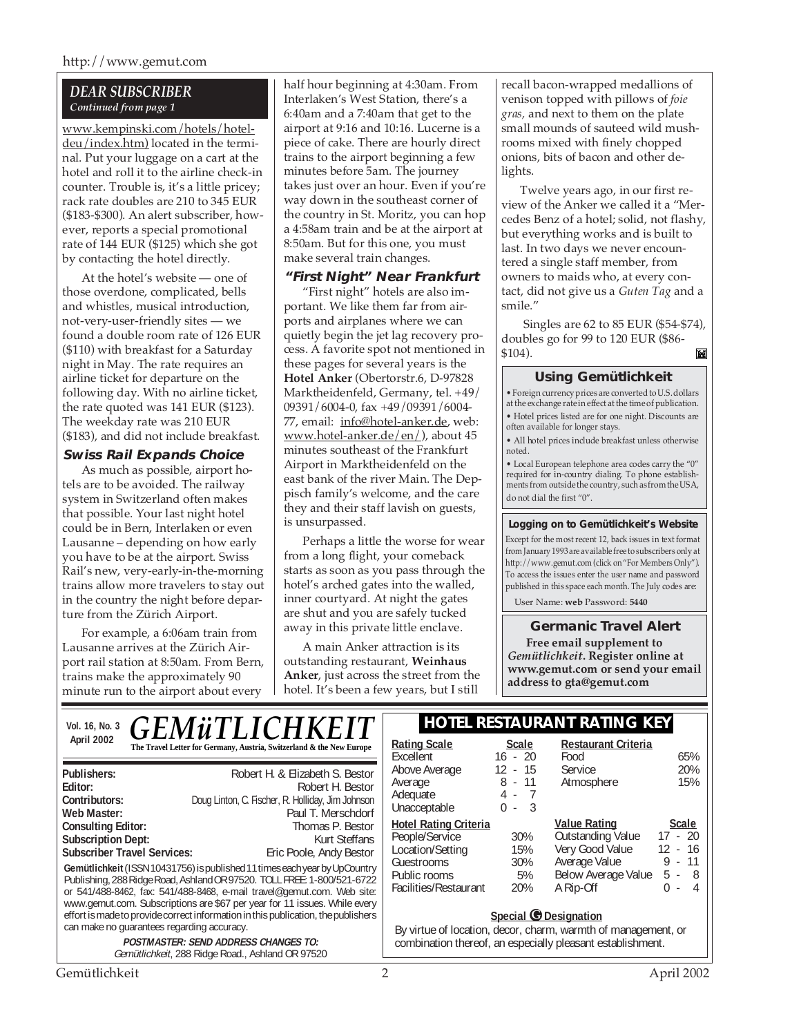#### *DEAR SUBSCRIBER Continued from page 1*

www.kempinski.com/hotels/hoteldeu/index.htm) located in the terminal. Put your luggage on a cart at the hotel and roll it to the airline check-in counter. Trouble is, it's a little pricey; rack rate doubles are 210 to 345 EUR (\$183-\$300). An alert subscriber, however, reports a special promotional rate of 144 EUR (\$125) which she got by contacting the hotel directly.

At the hotel's website — one of those overdone, complicated, bells and whistles, musical introduction, not-very-user-friendly sites — we found a double room rate of 126 EUR (\$110) with breakfast for a Saturday night in May. The rate requires an airline ticket for departure on the following day. With no airline ticket, the rate quoted was 141 EUR (\$123). The weekday rate was 210 EUR (\$183), and did not include breakfast.

#### **Swiss Rail Expands Choice**

As much as possible, airport hotels are to be avoided. The railway system in Switzerland often makes that possible. Your last night hotel could be in Bern, Interlaken or even Lausanne – depending on how early you have to be at the airport. Swiss Rail's new, very-early-in-the-morning trains allow more travelers to stay out in the country the night before departure from the Zürich Airport.

For example, a 6:06am train from Lausanne arrives at the Zürich Airport rail station at 8:50am. From Bern, trains make the approximately 90 minute run to the airport about every

half hour beginning at 4:30am. From Interlaken's West Station, there's a 6:40am and a 7:40am that get to the airport at 9:16 and 10:16. Lucerne is a piece of cake. There are hourly direct trains to the airport beginning a few minutes before 5am. The journey takes just over an hour. Even if you're way down in the southeast corner of the country in St. Moritz, you can hop a 4:58am train and be at the airport at 8:50am. But for this one, you must make several train changes.

#### **"First Night" Near Frankfurt**

"First night" hotels are also important. We like them far from airports and airplanes where we can quietly begin the jet lag recovery process. A favorite spot not mentioned in these pages for several years is the **Hotel Anker** (Obertorstr.6, D-97828 Marktheidenfeld, Germany, tel. +49/ 09391/6004-0, fax +49/09391/6004- 77, email: info@hotel-anker.de, web: www.hotel-anker.de/en/), about 45 minutes southeast of the Frankfurt Airport in Marktheidenfeld on the east bank of the river Main. The Deppisch family's welcome, and the care they and their staff lavish on guests, is unsurpassed.

Perhaps a little the worse for wear from a long flight, your comeback starts as soon as you pass through the hotel's arched gates into the walled, inner courtyard. At night the gates are shut and you are safely tucked away in this private little enclave.

A main Anker attraction is its outstanding restaurant, **Weinhaus Anker**, just across the street from the hotel. It's been a few years, but I still

recall bacon-wrapped medallions of venison topped with pillows of *foie gras,* and next to them on the plate small mounds of sauteed wild mushrooms mixed with finely chopped onions, bits of bacon and other delights.

Twelve years ago, in our first review of the Anker we called it a "Mercedes Benz of a hotel; solid, not flashy, but everything works and is built to last. In two days we never encountered a single staff member, from owners to maids who, at every contact, did not give us a *Guten Tag* and a smile."

 Singles are 62 to 85 EUR (\$54-\$74), doubles go for 99 to 120 EUR (\$86- \$104). M

#### **Using Gemütlichkeit**

• Foreign currency prices are converted to U.S. dollars at the exchange rate in effect at the time of publication. • Hotel prices listed are for one night. Discounts are often available for longer stays.

• All hotel prices include breakfast unless otherwise noted.

• Local European telephone area codes carry the "0" required for in-country dialing. To phone establishments from outside the country, such as from the USA, do not dial the first "0".

#### **Logging on to Gemütlichkeit's Website**

Except for the most recent 12, back issues in text format from January 1993 are available free to subscribers only at http://www.gemut.com (click on "For Members Only"). To access the issues enter the user name and password published in this space each month. The July codes are:

User Name: **web** Password: **5440**

#### **Germanic Travel Alert**

**Free email supplement to** *Gemütlichkeit***. Register online at www.gemut.com or send your email address to gta@gemut.com**

| <i><b>GEMüTLICHKEIT</b></i><br>Vol. 16, No. 3                                                                                                                                                                                                                                                                                                                                                                                                                                | <b>HOTEL RESTAURANT RATING KEY</b>                                                                                                                          |                                            |                                                                                                                         |                                                                        |
|------------------------------------------------------------------------------------------------------------------------------------------------------------------------------------------------------------------------------------------------------------------------------------------------------------------------------------------------------------------------------------------------------------------------------------------------------------------------------|-------------------------------------------------------------------------------------------------------------------------------------------------------------|--------------------------------------------|-------------------------------------------------------------------------------------------------------------------------|------------------------------------------------------------------------|
| April 2002<br>The Travel Letter for Germany, Austria, Switzerland & the New Europe                                                                                                                                                                                                                                                                                                                                                                                           | <b>Rating Scale</b><br>Excellent                                                                                                                            | <b>Scale</b><br>$16 - 20$                  | <b>Restaurant Criteria</b><br>Food                                                                                      | 65%                                                                    |
| Publishers:<br>Robert H. & Elizabeth S. Bestor<br>Robert H. Bestor<br>Editor:<br>Doug Linton, C. Fischer, R. Holliday, Jim Johnson<br>Contributors:<br>Web Master:<br>Paul T. Merschdorf                                                                                                                                                                                                                                                                                     | Above Average<br>Average<br>Adequate<br>Unacceptable                                                                                                        | - 15<br>12<br>$8 - 11$<br>4 - 7<br>$0 - 3$ | Service<br>Atmosphere                                                                                                   | 20%<br>15%                                                             |
| Thomas P. Bestor<br><b>Consulting Editor:</b><br><b>Subscription Dept:</b><br>Kurt Steffans<br><b>Subscriber Travel Services:</b><br>Eric Poole, Andy Bestor<br>Gemütlichkeit (ISSN 10431756) is published 11 times each year by UpCountry<br>Publishing, 288 Ridge Road, Ashland OR 97520. TOLL FREE: 1-800/521-6722<br>or 541/488-8462, fax: 541/488-8468, e-mail travel@gemut.com. Web site:<br>www.gemut.com. Subscriptions are \$67 per year for 11 issues. While every | <b>Hotel Rating Criteria</b><br>People/Service<br>Location/Setting<br>Guestrooms<br>Public rooms<br>Facilities/Restaurant                                   | 30%<br>15%<br>30%<br>5%<br><b>20%</b>      | <b>Value Rating</b><br><b>Outstanding Value</b><br>Very Good Value<br>Average Value<br>Below Average Value<br>A Rip-Off | <b>Scale</b><br>$17 - 20$<br>12 - 16<br>$9 - 11$<br>$5 - 8$<br>$0 - 4$ |
| effort is made to provide correct information in this publication, the publishers<br>can make no guarantees regarding accuracy.<br><b>POSTMASTER: SEND ADDRESS CHANGES TO:</b><br>Gemütlichkeit, 288 Ridge Road., Ashland OR 97520                                                                                                                                                                                                                                           | <b>Special C</b> Designation<br>By virtue of location, decor, charm, warmth of management, or<br>combination thereof, an especially pleasant establishment. |                                            |                                                                                                                         |                                                                        |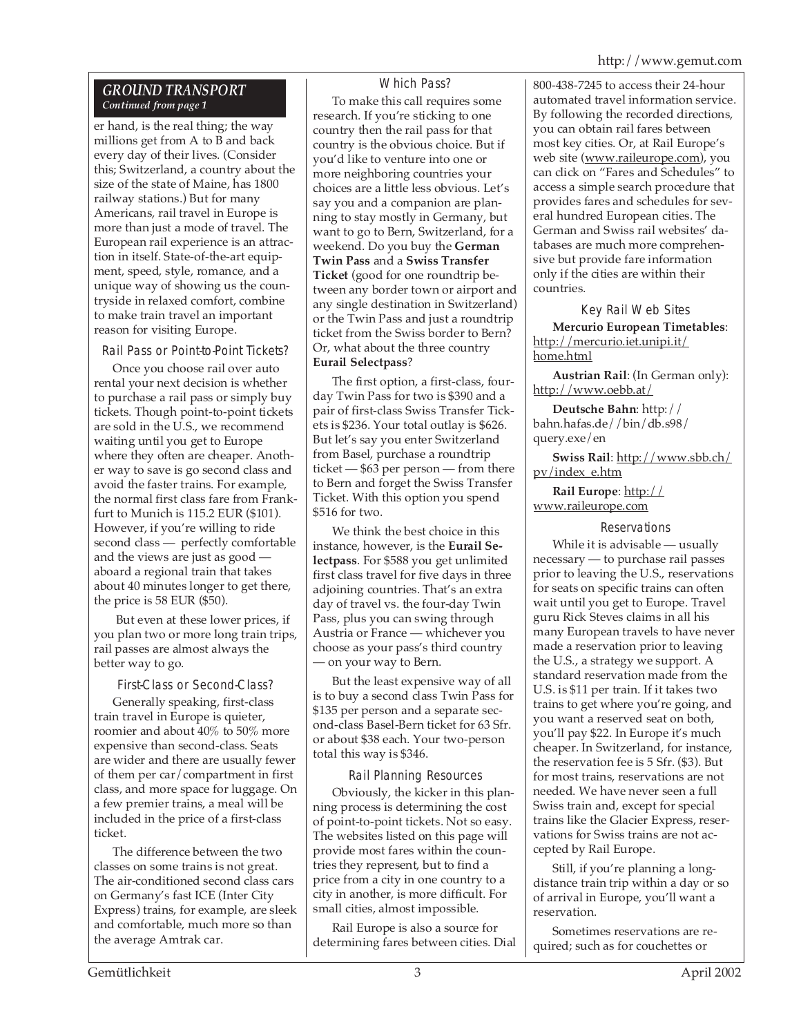#### *GROUND TRANSPORT Continued from page 1*

er hand, is the real thing; the way millions get from A to B and back every day of their lives. (Consider this; Switzerland, a country about the size of the state of Maine, has 1800 railway stations.) But for many Americans, rail travel in Europe is more than just a mode of travel. The European rail experience is an attraction in itself. State-of-the-art equipment, speed, style, romance, and a unique way of showing us the countryside in relaxed comfort, combine to make train travel an important reason for visiting Europe.

Rail Pass or Point-to-Point Tickets?

Once you choose rail over auto rental your next decision is whether to purchase a rail pass or simply buy tickets. Though point-to-point tickets are sold in the U.S., we recommend waiting until you get to Europe where they often are cheaper. Another way to save is go second class and avoid the faster trains. For example, the normal first class fare from Frankfurt to Munich is 115.2 EUR (\$101). However, if you're willing to ride second class — perfectly comfortable and the views are just as good aboard a regional train that takes about 40 minutes longer to get there, the price is 58 EUR (\$50).

 But even at these lower prices, if you plan two or more long train trips, rail passes are almost always the better way to go.

First-Class or Second-Class?

Generally speaking, first-class train travel in Europe is quieter, roomier and about 40% to 50% more expensive than second-class. Seats are wider and there are usually fewer of them per car/compartment in first class, and more space for luggage. On a few premier trains, a meal will be included in the price of a first-class ticket.

The difference between the two classes on some trains is not great. The air-conditioned second class cars on Germany's fast ICE (Inter City Express) trains, for example, are sleek and comfortable, much more so than the average Amtrak car.

#### Which Pass?

To make this call requires some research. If you're sticking to one country then the rail pass for that country is the obvious choice. But if you'd like to venture into one or more neighboring countries your choices are a little less obvious. Let's say you and a companion are planning to stay mostly in Germany, but want to go to Bern, Switzerland, for a weekend. Do you buy the **German Twin Pass** and a **Swiss Transfer Ticket** (good for one roundtrip between any border town or airport and any single destination in Switzerland) or the Twin Pass and just a roundtrip ticket from the Swiss border to Bern? Or, what about the three country **Eurail Selectpass**?

The first option, a first-class, fourday Twin Pass for two is \$390 and a pair of first-class Swiss Transfer Tickets is \$236. Your total outlay is \$626. But let's say you enter Switzerland from Basel, purchase a roundtrip ticket — \$63 per person — from there to Bern and forget the Swiss Transfer Ticket. With this option you spend \$516 for two.

We think the best choice in this instance, however, is the **Eurail Selectpass**. For \$588 you get unlimited first class travel for five days in three adjoining countries. That's an extra day of travel vs. the four-day Twin Pass, plus you can swing through Austria or France — whichever you choose as your pass's third country — on your way to Bern.

But the least expensive way of all is to buy a second class Twin Pass for \$135 per person and a separate second-class Basel-Bern ticket for 63 Sfr. or about \$38 each. Your two-person total this way is \$346.

Rail Planning Resources

Obviously, the kicker in this planning process is determining the cost of point-to-point tickets. Not so easy. The websites listed on this page will provide most fares within the countries they represent, but to find a price from a city in one country to a city in another, is more difficult. For small cities, almost impossible.

Rail Europe is also a source for determining fares between cities. Dial

800-438-7245 to access their 24-hour automated travel information service. By following the recorded directions, you can obtain rail fares between most key cities. Or, at Rail Europe's web site (www.raileurope.com), you can click on "Fares and Schedules" to access a simple search procedure that provides fares and schedules for several hundred European cities. The German and Swiss rail websites' databases are much more comprehensive but provide fare information only if the cities are within their countries.

#### Key Rail Web Sites

**Mercurio European Timetables**: http://mercurio.iet.unipi.it/ home.html

**Austrian Rail**: (In German only): http://www.oebb.at/

**Deutsche Bahn**: http:// bahn.hafas.de//bin/db.s98/ query.exe/en

**Swiss Rail**: http://www.sbb.ch/ pv/index\_e.htm

**Rail Europe**: http:// www.raileurope.com

#### **Reservations**

While it is advisable — usually necessary — to purchase rail passes prior to leaving the U.S., reservations for seats on specific trains can often wait until you get to Europe. Travel guru Rick Steves claims in all his many European travels to have never made a reservation prior to leaving the U.S., a strategy we support. A standard reservation made from the U.S. is \$11 per train. If it takes two trains to get where you're going, and you want a reserved seat on both, you'll pay \$22. In Europe it's much cheaper. In Switzerland, for instance, the reservation fee is 5 Sfr. (\$3). But for most trains, reservations are not needed. We have never seen a full Swiss train and, except for special trains like the Glacier Express, reservations for Swiss trains are not accepted by Rail Europe.

Still, if you're planning a longdistance train trip within a day or so of arrival in Europe, you'll want a reservation.

Sometimes reservations are required; such as for couchettes or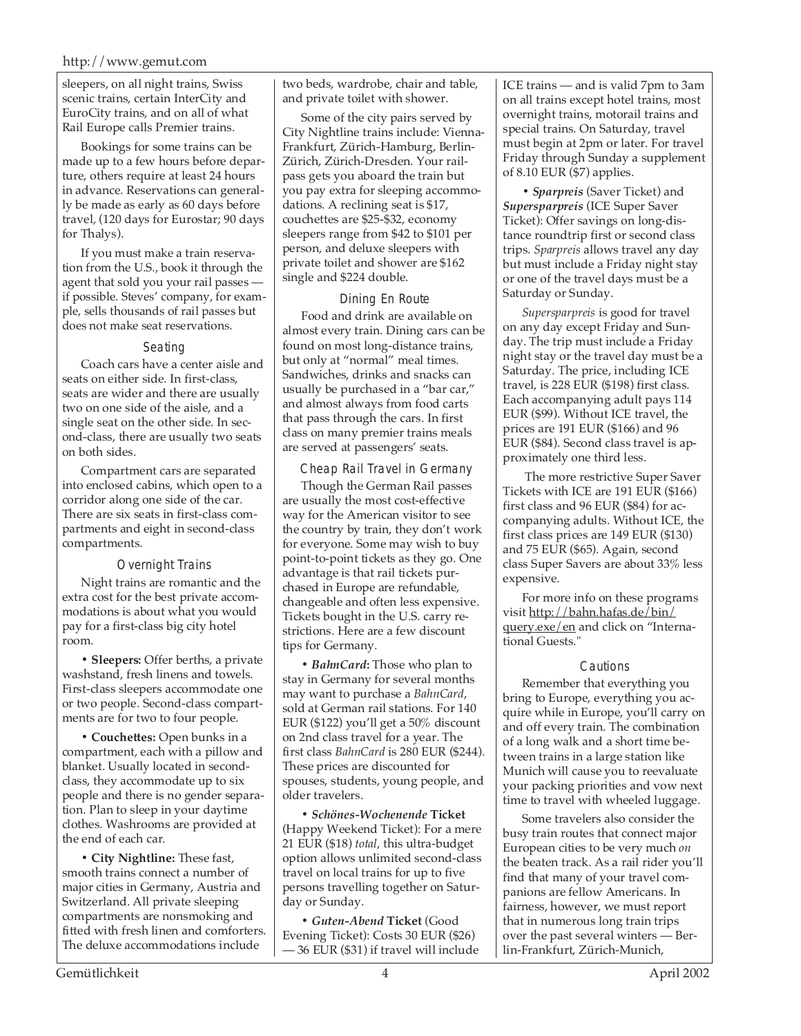#### http://www.gemut.com

sleepers, on all night trains, Swiss scenic trains, certain InterCity and EuroCity trains, and on all of what Rail Europe calls Premier trains.

Bookings for some trains can be made up to a few hours before departure, others require at least 24 hours in advance. Reservations can generally be made as early as 60 days before travel, (120 days for Eurostar; 90 days for Thalys).

If you must make a train reservation from the U.S., book it through the agent that sold you your rail passes if possible. Steves' company, for example, sells thousands of rail passes but does not make seat reservations.

#### Seating

Coach cars have a center aisle and seats on either side. In first-class, seats are wider and there are usually two on one side of the aisle, and a single seat on the other side. In second-class, there are usually two seats on both sides.

Compartment cars are separated into enclosed cabins, which open to a corridor along one side of the car. There are six seats in first-class compartments and eight in second-class compartments.

#### Overnight Trains

Night trains are romantic and the extra cost for the best private accommodations is about what you would pay for a first-class big city hotel room.

**• Sleepers:** Offer berths, a private washstand, fresh linens and towels. First-class sleepers accommodate one or two people. Second-class compartments are for two to four people.

**• Couchettes:** Open bunks in a compartment, each with a pillow and blanket. Usually located in secondclass, they accommodate up to six people and there is no gender separation. Plan to sleep in your daytime clothes. Washrooms are provided at the end of each car.

**• City Nightline:** These fast, smooth trains connect a number of major cities in Germany, Austria and Switzerland. All private sleeping compartments are nonsmoking and fitted with fresh linen and comforters. The deluxe accommodations include

two beds, wardrobe, chair and table, and private toilet with shower.

Some of the city pairs served by City Nightline trains include: Vienna-Frankfurt, Zürich-Hamburg, Berlin-Zürich, Zürich-Dresden. Your railpass gets you aboard the train but you pay extra for sleeping accommodations. A reclining seat is \$17, couchettes are \$25-\$32, economy sleepers range from \$42 to \$101 per person, and deluxe sleepers with private toilet and shower are \$162 single and \$224 double.

#### Dining En Route

Food and drink are available on almost every train. Dining cars can be found on most long-distance trains, but only at "normal" meal times. Sandwiches, drinks and snacks can usually be purchased in a "bar car," and almost always from food carts that pass through the cars. In first class on many premier trains meals are served at passengers' seats.

#### Cheap Rail Travel in Germany

Though the German Rail passes are usually the most cost-effective way for the American visitor to see the country by train, they don't work for everyone. Some may wish to buy point-to-point tickets as they go. One advantage is that rail tickets purchased in Europe are refundable, changeable and often less expensive. Tickets bought in the U.S. carry restrictions. Here are a few discount tips for Germany.

**•** *BahnCard***:** Those who plan to stay in Germany for several months may want to purchase a *BahnCard*, sold at German rail stations. For 140 EUR (\$122) you'll get a 50% discount on 2nd class travel for a year. The first class *BahnCard* is 280 EUR (\$244). These prices are discounted for spouses, students, young people, and older travelers.

**•** *Schönes-Wochenende* **Ticket** (Happy Weekend Ticket): For a mere 21 EUR (\$18) *total*, this ultra-budget option allows unlimited second-class travel on local trains for up to five persons travelling together on Saturday or Sunday.

**•** *Guten-Abend* **Ticket** (Good Evening Ticket): Costs 30 EUR (\$26) — 36 EUR (\$31) if travel will include ICE trains — and is valid 7pm to 3am on all trains except hotel trains, most overnight trains, motorail trains and special trains. On Saturday, travel must begin at 2pm or later. For travel Friday through Sunday a supplement of 8.10 EUR (\$7) applies.

**•** *Sparpreis* (Saver Ticket) and *Supersparpreis* (ICE Super Saver Ticket): Offer savings on long-distance roundtrip first or second class trips. *Sparpreis* allows travel any day but must include a Friday night stay or one of the travel days must be a Saturday or Sunday.

*Supersparpreis* is good for travel on any day except Friday and Sunday. The trip must include a Friday night stay or the travel day must be a Saturday. The price, including ICE travel, is 228 EUR (\$198) first class. Each accompanying adult pays 114 EUR (\$99). Without ICE travel, the prices are 191 EUR (\$166) and 96 EUR (\$84). Second class travel is approximately one third less.

 The more restrictive Super Saver Tickets with ICE are 191 EUR (\$166) first class and 96 EUR (\$84) for accompanying adults. Without ICE, the first class prices are 149 EUR (\$130) and 75 EUR (\$65). Again, second class Super Savers are about 33% less expensive.

For more info on these programs visit http://bahn.hafas.de/bin/ query.exe/en and click on "International Guests."

#### **Cautions**

Remember that everything you bring to Europe, everything you acquire while in Europe, you'll carry on and off every train. The combination of a long walk and a short time between trains in a large station like Munich will cause you to reevaluate your packing priorities and vow next time to travel with wheeled luggage.

Some travelers also consider the busy train routes that connect major European cities to be very much *on* the beaten track. As a rail rider you'll find that many of your travel companions are fellow Americans. In fairness, however, we must report that in numerous long train trips over the past several winters — Berlin-Frankfurt, Zürich-Munich,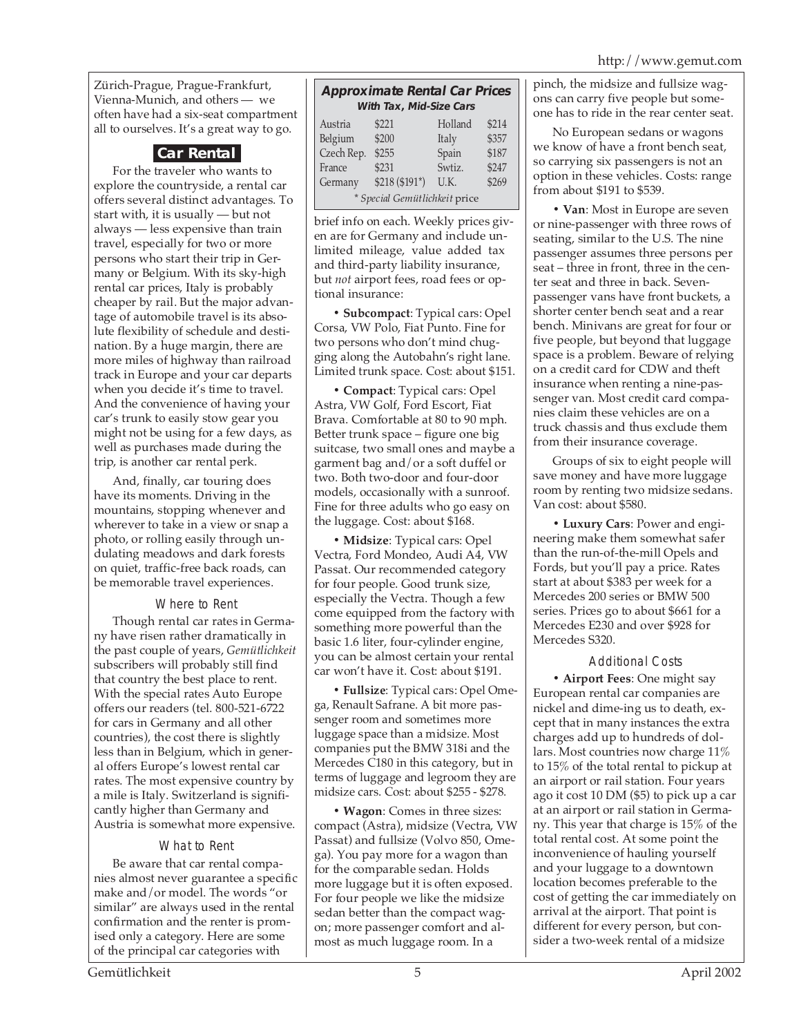Zürich-Prague, Prague-Frankfurt, Vienna-Munich, and others — we often have had a six-seat compartment all to ourselves. It's a great way to go.

#### **Car Rental**

For the traveler who wants to explore the countryside, a rental car offers several distinct advantages. To start with, it is usually — but not always — less expensive than train travel, especially for two or more persons who start their trip in Germany or Belgium. With its sky-high rental car prices, Italy is probably cheaper by rail. But the major advantage of automobile travel is its absolute flexibility of schedule and destination. By a huge margin, there are more miles of highway than railroad track in Europe and your car departs when you decide it's time to travel. And the convenience of having your car's trunk to easily stow gear you might not be using for a few days, as well as purchases made during the trip, is another car rental perk.

And, finally, car touring does have its moments. Driving in the mountains, stopping whenever and wherever to take in a view or snap a photo, or rolling easily through undulating meadows and dark forests on quiet, traffic-free back roads, can be memorable travel experiences.

#### Where to Rent

Though rental car rates in Germany have risen rather dramatically in the past couple of years, *Gemütlichkeit* subscribers will probably still find that country the best place to rent. With the special rates Auto Europe offers our readers (tel. 800-521-6722 for cars in Germany and all other countries), the cost there is slightly less than in Belgium, which in general offers Europe's lowest rental car rates. The most expensive country by a mile is Italy. Switzerland is significantly higher than Germany and Austria is somewhat more expensive.

#### What to Rent

Be aware that car rental companies almost never guarantee a specific make and/or model. The words "or similar" are always used in the rental confirmation and the renter is promised only a category. Here are some of the principal car categories with

#### **Approximate Rental Car Prices With Tax, Mid-Size Cars**

| Austria                       | \$221          | Holland | \$214 |  |  |
|-------------------------------|----------------|---------|-------|--|--|
| Belgium                       | \$200          | Italy   | \$357 |  |  |
| Czech Rep.                    | \$255          | Spain   | \$187 |  |  |
| France                        | \$231          | Swtiz.  | \$247 |  |  |
| Germany                       | $$218 ($191*)$ | U.K.    | \$269 |  |  |
| * Special Gemütlichkeit price |                |         |       |  |  |

brief info on each. Weekly prices given are for Germany and include unlimited mileage, value added tax and third-party liability insurance, but *not* airport fees, road fees or optional insurance:

**• Subcompact**: Typical cars: Opel Corsa, VW Polo, Fiat Punto. Fine for two persons who don't mind chugging along the Autobahn's right lane. Limited trunk space. Cost: about \$151.

**• Compact**: Typical cars: Opel Astra, VW Golf, Ford Escort, Fiat Brava. Comfortable at 80 to 90 mph. Better trunk space – figure one big suitcase, two small ones and maybe a garment bag and/or a soft duffel or two. Both two-door and four-door models, occasionally with a sunroof. Fine for three adults who go easy on the luggage. Cost: about \$168.

**• Midsize**: Typical cars: Opel Vectra, Ford Mondeo, Audi A4, VW Passat. Our recommended category for four people. Good trunk size, especially the Vectra. Though a few come equipped from the factory with something more powerful than the basic 1.6 liter, four-cylinder engine, you can be almost certain your rental car won't have it. Cost: about \$191.

**• Fullsize**: Typical cars: Opel Omega, Renault Safrane. A bit more passenger room and sometimes more luggage space than a midsize. Most companies put the BMW 318i and the Mercedes C180 in this category, but in terms of luggage and legroom they are midsize cars. Cost: about \$255 - \$278.

**• Wagon**: Comes in three sizes: compact (Astra), midsize (Vectra, VW Passat) and fullsize (Volvo 850, Omega). You pay more for a wagon than for the comparable sedan. Holds more luggage but it is often exposed. For four people we like the midsize sedan better than the compact wagon; more passenger comfort and almost as much luggage room. In a

pinch, the midsize and fullsize wagons can carry five people but someone has to ride in the rear center seat.

No European sedans or wagons we know of have a front bench seat, so carrying six passengers is not an option in these vehicles. Costs: range from about \$191 to \$539.

**• Van**: Most in Europe are seven or nine-passenger with three rows of seating, similar to the U.S. The nine passenger assumes three persons per seat – three in front, three in the center seat and three in back. Sevenpassenger vans have front buckets, a shorter center bench seat and a rear bench. Minivans are great for four or five people, but beyond that luggage space is a problem. Beware of relying on a credit card for CDW and theft insurance when renting a nine-passenger van. Most credit card companies claim these vehicles are on a truck chassis and thus exclude them from their insurance coverage.

Groups of six to eight people will save money and have more luggage room by renting two midsize sedans. Van cost: about \$580.

**• Luxury Cars**: Power and engineering make them somewhat safer than the run-of-the-mill Opels and Fords, but you'll pay a price. Rates start at about \$383 per week for a Mercedes 200 series or BMW 500 series. Prices go to about \$661 for a Mercedes E230 and over \$928 for Mercedes S320.

#### Additional Costs

**• Airport Fees**: One might say European rental car companies are nickel and dime-ing us to death, except that in many instances the extra charges add up to hundreds of dollars. Most countries now charge 11% to 15% of the total rental to pickup at an airport or rail station. Four years ago it cost 10 DM (\$5) to pick up a car at an airport or rail station in Germany. This year that charge is 15% of the total rental cost. At some point the inconvenience of hauling yourself and your luggage to a downtown location becomes preferable to the cost of getting the car immediately on arrival at the airport. That point is different for every person, but consider a two-week rental of a midsize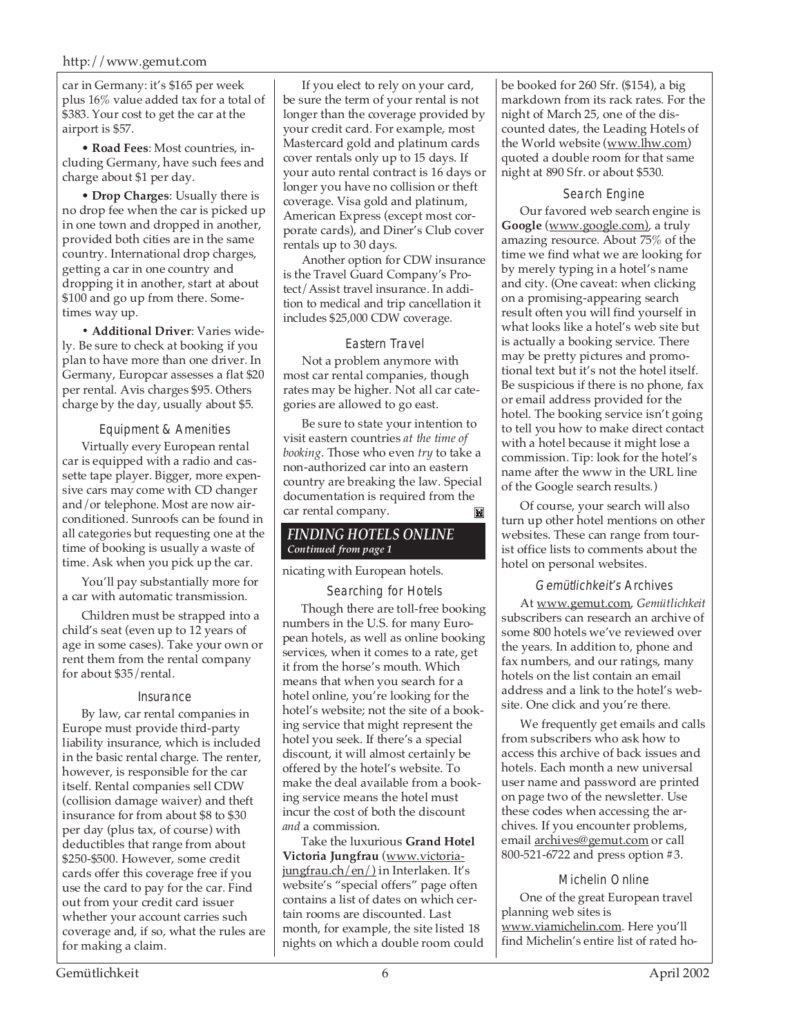car in Germany: it's \$165 per week plus 16% value added tax for a total of \$383. Your cost to get the car at the airport is \$57.

• **Road Fees**: Most countries, including Germany, have such fees and charge about \$1 per day.

• **Drop Charges**: Usually there is no drop fee when the car is picked up in one town and dropped in another, provided both cities are in the same country. International drop charges, getting a car in one country and dropping it in another, start at about \$100 and go up from there. Sometimes way up.

**• Additional Driver**: Varies widely. Be sure to check at booking if you plan to have more than one driver. In Germany, Europcar assesses a flat \$20 per rental. Avis charges \$95. Others charge by the day, usually about \$5.

#### Equipment & Amenities

Virtually every European rental car is equipped with a radio and cassette tape player. Bigger, more expensive cars may come with CD changer and/or telephone. Most are now airconditioned. Sunroofs can be found in all categories but requesting one at the time of booking is usually a waste of time. Ask when you pick up the car.

You'll pay substantially more for a car with automatic transmission.

Children must be strapped into a child's seat (even up to 12 years of age in some cases). Take your own or rent them from the rental company for about \$35/rental.

#### Insurance

By law, car rental companies in Europe must provide third-party liability insurance, which is included in the basic rental charge. The renter, however, is responsible for the car itself. Rental companies sell CDW (collision damage waiver) and theft insurance for from about \$8 to \$30 per day (plus tax, of course) with deductibles that range from about \$250-\$500. However, some credit cards offer this coverage free if you use the card to pay for the car. Find out from your credit card issuer whether your account carries such coverage and, if so, what the rules are for making a claim.

If you elect to rely on your card, be sure the term of your rental is not longer than the coverage provided by your credit card. For example, most Mastercard gold and platinum cards cover rentals only up to 15 days. If your auto rental contract is 16 days or longer you have no collision or theft coverage. Visa gold and platinum, American Express (except most corporate cards), and Diner's Club cover rentals up to 30 days.

Another option for CDW insurance is the Travel Guard Company's Protect/Assist travel insurance. In addition to medical and trip cancellation it includes \$25,000 CDW coverage.

#### Eastern Travel

Not a problem anymore with most car rental companies, though rates may be higher. Not all car categories are allowed to go east.

Be sure to state your intention to visit eastern countries *at the time of booking*. Those who even *try* to take a non-authorized car into an eastern country are breaking the law. Special documentation is required from the car rental company.  $\blacksquare$ 

#### *FINDING HOTELS ONLINE Continued from page 1*

nicating with European hotels.

Searching for Hotels

Though there are toll-free booking numbers in the U.S. for many European hotels, as well as online booking services, when it comes to a rate, get it from the horse's mouth. Which means that when you search for a hotel online, you're looking for the hotel's website; not the site of a booking service that might represent the hotel you seek. If there's a special discount, it will almost certainly be offered by the hotel's website. To make the deal available from a booking service means the hotel must incur the cost of both the discount *and* a commission.

Take the luxurious **Grand Hotel Victoria Jungfrau** (www.victoriajungfrau.ch/en/) in Interlaken. It's website's "special offers" page often contains a list of dates on which certain rooms are discounted. Last month, for example, the site listed 18 nights on which a double room could be booked for 260 Sfr. (\$154), a big markdown from its rack rates. For the night of March 25, one of the discounted dates, the Leading Hotels of the World website (www.lhw.com) quoted a double room for that same night at 890 Sfr. or about \$530.

#### Search Engine

Our favored web search engine is **Google** (www.google.com), a truly amazing resource. About 75% of the time we find what we are looking for by merely typing in a hotel's name and city. (One caveat: when clicking on a promising-appearing search result often you will find yourself in what looks like a hotel's web site but is actually a booking service. There may be pretty pictures and promotional text but it's not the hotel itself. Be suspicious if there is no phone, fax or email address provided for the hotel. The booking service isn't going to tell you how to make direct contact with a hotel because it might lose a commission. Tip: look for the hotel's name after the www in the URL line of the Google search results.)

Of course, your search will also turn up other hotel mentions on other websites. These can range from tourist office lists to comments about the hotel on personal websites.

Gemütlichkeit's Archives

At www.gemut.com, *Gemütlichkeit* subscribers can research an archive of some 800 hotels we've reviewed over the years. In addition to, phone and fax numbers, and our ratings, many hotels on the list contain an email address and a link to the hotel's website. One click and you're there.

We frequently get emails and calls from subscribers who ask how to access this archive of back issues and hotels. Each month a new universal user name and password are printed on page two of the newsletter. Use these codes when accessing the archives. If you encounter problems, email archives@gemut.com or call 800-521-6722 and press option #3.

#### Michelin Online

One of the great European travel planning web sites is www.viamichelin.com. Here you'll find Michelin's entire list of rated ho-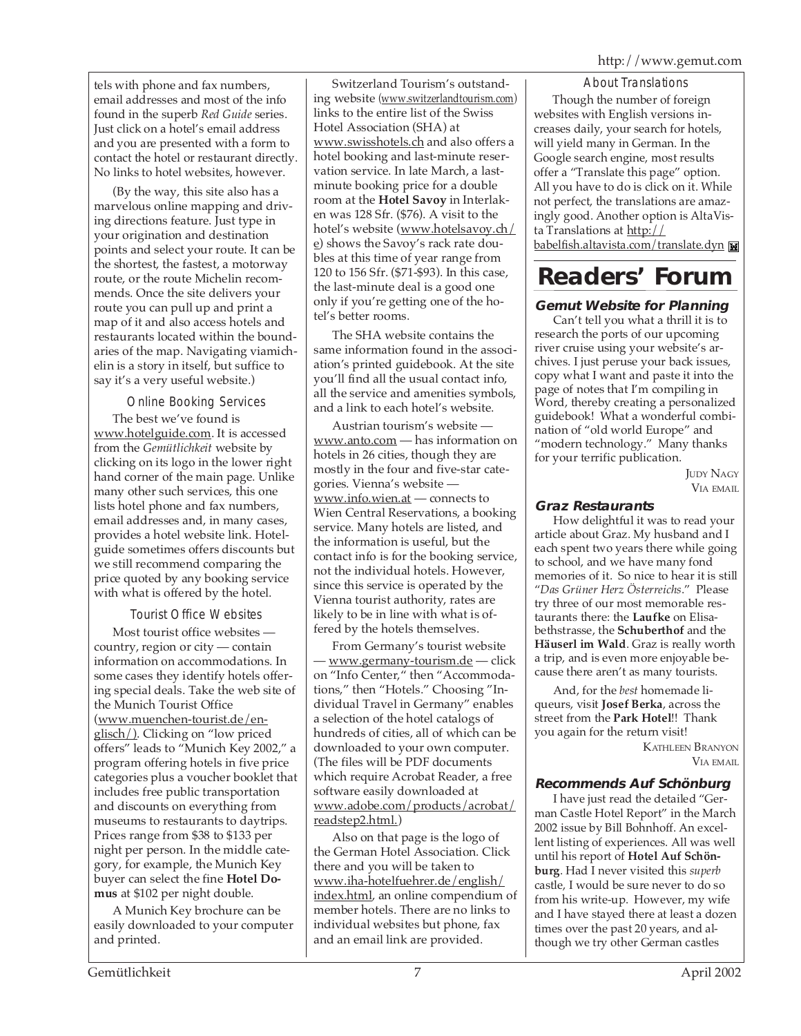tels with phone and fax numbers, email addresses and most of the info found in the superb *Red Guide* series. Just click on a hotel's email address and you are presented with a form to contact the hotel or restaurant directly. No links to hotel websites, however.

(By the way, this site also has a marvelous online mapping and driving directions feature. Just type in your origination and destination points and select your route. It can be the shortest, the fastest, a motorway route, or the route Michelin recommends. Once the site delivers your route you can pull up and print a map of it and also access hotels and restaurants located within the boundaries of the map. Navigating viamichelin is a story in itself, but suffice to say it's a very useful website.)

Online Booking Services

The best we've found is www.hotelguide.com. It is accessed from the *Gemütlichkeit* website by clicking on its logo in the lower right hand corner of the main page. Unlike many other such services, this one lists hotel phone and fax numbers, email addresses and, in many cases, provides a hotel website link. Hotelguide sometimes offers discounts but we still recommend comparing the price quoted by any booking service with what is offered by the hotel.

Tourist Office Websites

Most tourist office websites country, region or city — contain information on accommodations. In some cases they identify hotels offering special deals. Take the web site of the Munich Tourist Office (www.muenchen-tourist.de/englisch/). Clicking on "low priced offers" leads to "Munich Key 2002," a program offering hotels in five price categories plus a voucher booklet that includes free public transportation and discounts on everything from museums to restaurants to daytrips. Prices range from \$38 to \$133 per night per person. In the middle category, for example, the Munich Key buyer can select the fine **Hotel Domus** at \$102 per night double.

A Munich Key brochure can be easily downloaded to your computer and printed.

Switzerland Tourism's outstanding website (www.switzerlandtourism.com) links to the entire list of the Swiss Hotel Association (SHA) at www.swisshotels.ch and also offers a hotel booking and last-minute reservation service. In late March, a lastminute booking price for a double room at the **Hotel Savoy** in Interlaken was 128 Sfr. (\$76). A visit to the hotel's website (www.hotelsavoy.ch/ e) shows the Savoy's rack rate doubles at this time of year range from 120 to 156 Sfr. (\$71-\$93). In this case, the last-minute deal is a good one only if you're getting one of the hotel's better rooms.

The SHA website contains the same information found in the association's printed guidebook. At the site you'll find all the usual contact info, all the service and amenities symbols, and a link to each hotel's website.

Austrian tourism's website www.anto.com — has information on hotels in 26 cities, though they are mostly in the four and five-star categories. Vienna's website www.info.wien.at — connects to Wien Central Reservations, a booking service. Many hotels are listed, and the information is useful, but the contact info is for the booking service, not the individual hotels. However, since this service is operated by the Vienna tourist authority, rates are likely to be in line with what is offered by the hotels themselves.

From Germany's tourist website — www.germany-tourism.de — click on "Info Center," then "Accommodations," then "Hotels." Choosing "Individual Travel in Germany" enables a selection of the hotel catalogs of hundreds of cities, all of which can be downloaded to your own computer. (The files will be PDF documents which require Acrobat Reader, a free software easily downloaded at www.adobe.com/products/acrobat/ readstep2.html.)

Also on that page is the logo of the German Hotel Association. Click there and you will be taken to www.iha-hotelfuehrer.de/english/ index.html, an online compendium of member hotels. There are no links to individual websites but phone, fax and an email link are provided.

About Translations Though the number of foreign websites with English versions increases daily, your search for hotels, will yield many in German. In the Google search engine, most results offer a "Translate this page" option. All you have to do is click on it. While not perfect, the translations are amazingly good. Another option is AltaVista Translations at  $\frac{\text{http://}}{\text{http://}}$ babelfish.altavista.com/translate.dyn

### **Readers' Forum**

#### **Gemut Website for Planning**

Can't tell you what a thrill it is to research the ports of our upcoming river cruise using your website's archives. I just peruse your back issues, copy what I want and paste it into the page of notes that I'm compiling in Word, thereby creating a personalized guidebook! What a wonderful combination of "old world Europe" and "modern technology." Many thanks for your terrific publication.

> JUDY NAGY VIA EMAIL

#### **Graz Restaurants**

How delightful it was to read your article about Graz. My husband and I each spent two years there while going to school, and we have many fond memories of it. So nice to hear it is still "*Das Grüner Herz Österreichs*." Please try three of our most memorable restaurants there: the **Laufke** on Elisabethstrasse, the **Schuberthof** and the **Häuserl im Wald**. Graz is really worth a trip, and is even more enjoyable because there aren't as many tourists.

And, for the *best* homemade liqueurs, visit **Josef Berka**, across the street from the **Park Hotel**!! Thank you again for the return visit!

> KATHLEEN BRANYON VIA EMAIL

#### **Recommends Auf Schönburg**

I have just read the detailed "German Castle Hotel Report" in the March 2002 issue by Bill Bohnhoff. An excellent listing of experiences. All was well until his report of **Hotel Auf Schönburg**. Had I never visited this *superb* castle, I would be sure never to do so from his write-up. However, my wife and I have stayed there at least a dozen times over the past 20 years, and although we try other German castles